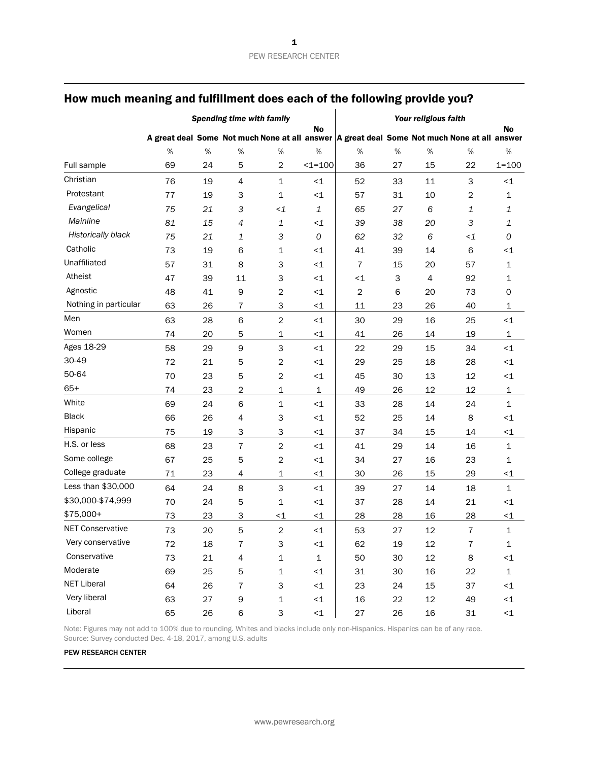|                         | <b>Spending time with family</b> |      |                |                           |                 | Your religious faith                                                                          |      |                |          |             |
|-------------------------|----------------------------------|------|----------------|---------------------------|-----------------|-----------------------------------------------------------------------------------------------|------|----------------|----------|-------------|
|                         |                                  |      |                |                           | No              | A great deal Some Not much None at all answer   A great deal Some Not much None at all answer |      |                |          | No          |
|                         | %                                | $\%$ | $\%$           | $\%$                      | %               | $\%$                                                                                          | $\%$ | $\%$           | $\%$     | $\%$        |
| Full sample             | 69                               | 24   | 5              | $\overline{2}$            | $1 = 100$       | 36                                                                                            | 27   | 15             | 22       | $1 = 100$   |
| Christian               | 76                               | 19   | $\overline{4}$ | $\mathbf{1}$              | $\leq$ 1        | 52                                                                                            | 33   | 11             | 3        | $\leq$ 1    |
| Protestant              | 77                               | 19   | З              | $\mathbf{1}$              | ~1              | 57                                                                                            | 31   | 10             | 2        | 1           |
| Evangelical             | 75                               | 21   | 3              | $\leq$ 1                  | $\mathbf{1}$    | 65                                                                                            | 27   | 6              | 1        | 1           |
| Mainline                | 81                               | 15   | 4              | $\mathbf{1}$              | $\leq$ 1        | 39                                                                                            | 38   | 20             | 3        | 1           |
| Historically black      | 75                               | 21   | $\mathbf 1$    | $\ensuremath{\mathsf{3}}$ | 0               | 62                                                                                            | 32   | 6              | $\leq$ 1 | 0           |
| Catholic                | 73                               | 19   | 6              | $\mathbf 1$               | $\leq$ 1        | 41                                                                                            | 39   | 14             | 6        | $\leq$ 1    |
| Unaffiliated            | 57                               | 31   | 8              | 3                         | ~1              | $\overline{7}$                                                                                | 15   | 20             | 57       | 1           |
| Atheist                 | 47                               | 39   | 11             | 3                         | $\leq$ 1        | $<1$                                                                                          | 3    | $\overline{4}$ | 92       | 1           |
| Agnostic                | 48                               | 41   | 9              | $\overline{c}$            | $\leq$ 1        | 2                                                                                             | 6    | 20             | 73       | 0           |
| Nothing in particular   | 63                               | 26   | $\overline{7}$ | 3                         | $\leq$ 1        | 11                                                                                            | 23   | 26             | 40       | 1           |
| Men                     | 63                               | 28   | 6              | $\overline{c}$            | $\leq$ 1        | 30                                                                                            | 29   | 16             | 25       | $<$ 1       |
| Women                   | 74                               | 20   | 5              | $\mathbf 1$               | $\leq$ 1        | 41                                                                                            | 26   | 14             | 19       | $\mathbf 1$ |
| Ages 18-29              | 58                               | 29   | $\mathsf 9$    | 3                         | $\leq$ 1        | 22                                                                                            | 29   | 15             | 34       | ${<}\,1$    |
| 30-49                   | 72                               | 21   | 5              | $\overline{c}$            | $<1$            | 29                                                                                            | 25   | 18             | 28       | ${<}\,1$    |
| 50-64                   | 70                               | 23   | 5              | $\sqrt{2}$                | $<1$            | 45                                                                                            | 30   | 13             | 12       | $\leq$ 1    |
| $65+$                   | 74                               | 23   | $\sqrt{2}$     | $\mathbf{1}$              | $\mathbf 1$     | 49                                                                                            | 26   | 12             | 12       | 1           |
| White                   | 69                               | 24   | 6              | $\mathbf 1$               | $<1$            | 33                                                                                            | 28   | 14             | 24       | 1           |
| <b>Black</b>            | 66                               | 26   | $\overline{4}$ | 3                         | $<1$            | 52                                                                                            | 25   | 14             | 8        | ${<}\,1$    |
| Hispanic                | 75                               | 19   | 3              | 3                         | $\leq$ 1        | 37                                                                                            | 34   | 15             | 14       | $\leq$ 1    |
| H.S. or less            | 68                               | 23   | $\bf 7$        | $\mathbf 2$               | $\leq$ 1        | 41                                                                                            | 29   | 14             | 16       | 1           |
| Some college            | 67                               | 25   | 5              | $\overline{2}$            | $\leq$ 1        | 34                                                                                            | 27   | 16             | 23       | 1           |
| College graduate        | 71                               | 23   | 4              | 1                         | $\leq$ 1        | 30                                                                                            | 26   | 15             | 29       | $\leq$ 1    |
| Less than \$30,000      | 64                               | 24   | 8              | 3                         | $\leq$ 1        | 39                                                                                            | 27   | 14             | 18       | 1           |
| \$30,000-\$74,999       | 70                               | 24   | 5              | $\mathbf 1$               | $\leq$ 1        | 37                                                                                            | 28   | 14             | 21       | $\leq$ 1    |
| \$75,000+               | 73                               | 23   | 3              | $\leq$ 1                  | $\leq$ 1        | 28                                                                                            | 28   | 16             | 28       | $\leq$ 1    |
| <b>NET Conservative</b> | 73                               | 20   | 5              | $\overline{c}$            | $\leq$ 1        | 53                                                                                            | 27   | 12             | 7        | $\mathbf 1$ |
| Very conservative       | 72                               | 18   | 7              | 3                         | $\leq$ 1        | 62                                                                                            | 19   | 12             | 7        | 1           |
| Conservative            | 73                               | 21   | $\overline{4}$ | $\mathbf 1$               | $\mathbf 1$     | 50                                                                                            | 30   | 12             | 8        | ${<}1$      |
| Moderate                | 69                               | 25   | 5              | $\mathbf 1$               | ${<}1$          | 31                                                                                            | 30   | 16             | 22       | $\mathbf 1$ |
| <b>NET Liberal</b>      | 64                               | 26   | $\overline{7}$ | 3                         | $\leq$ 1        | 23                                                                                            | 24   | 15             | 37       | ${<}1$      |
| Very liberal            | 63                               | 27   | 9              | $\mathbf 1$               | $\leq$ 1        | 16                                                                                            | 22   | $12\,$         | 49       | ${<}1$      |
| Liberal                 | 65                               | 26   | 6              | 3                         | ${<}\mathbf{1}$ | 27                                                                                            | 26   | 16             | 31       | ${<}1$      |

Note: Figures may not add to 100% due to rounding. Whites and blacks include only non-Hispanics. Hispanics can be of any race. Source: Survey conducted Dec. 4-18, 2017, among U.S. adults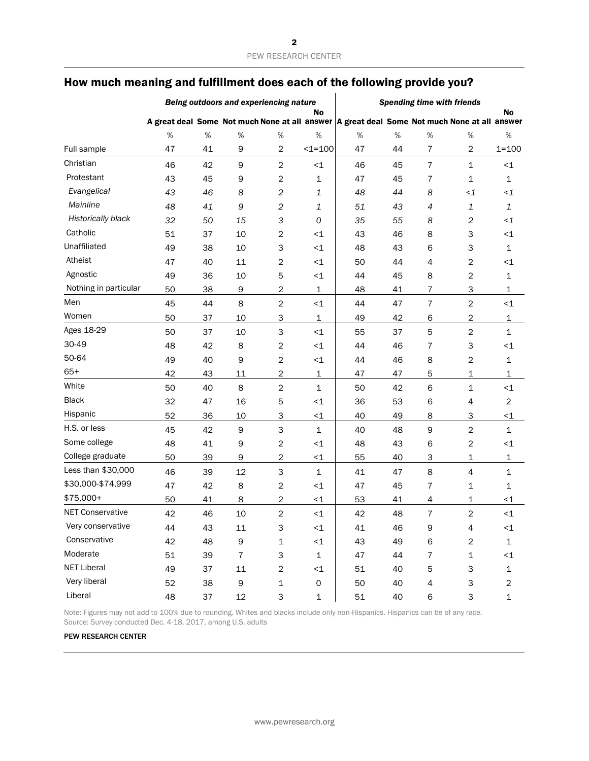|                           | Being outdoors and experiencing nature |    |                |                                                 |                     | <b>Spending time with friends</b>                                                           |    |                           |                          |                |
|---------------------------|----------------------------------------|----|----------------|-------------------------------------------------|---------------------|---------------------------------------------------------------------------------------------|----|---------------------------|--------------------------|----------------|
|                           |                                        |    |                |                                                 | No                  | A great deal Some Not much None at all answer A great deal Some Not much None at all answer |    |                           |                          | <b>No</b>      |
|                           | %                                      | %  | $\%$           | $\%$                                            | %                   | %                                                                                           | %  | %                         | %                        | %              |
| Full sample               | 47                                     | 41 | 9              | $\overline{\mathbf{c}}$                         | $1 = 100$           | 47                                                                                          | 44 | $\overline{7}$            | 2                        | $1 = 100$      |
| Christian                 | 46                                     | 42 | $\mathsf 9$    | $\overline{c}$                                  | $\leq 1$            | 46                                                                                          | 45 | $\overline{7}$            | $\mathbf 1$              | $\leq$ 1       |
| Protestant                | 43                                     | 45 | 9              | $\overline{c}$                                  | 1                   | 47                                                                                          | 45 | $\overline{7}$            | $\mathbf 1$              | $\mathbf{1}$   |
| Evangelical               | 43                                     | 46 | 8              | $\mathfrak{2}% \left( \mathfrak{2}\right) ^{2}$ | 1                   | 48                                                                                          | 44 | 8                         | $\leq$ 1                 | $\leq$ 1       |
| Mainline                  | 48                                     | 41 | $\mathsf 9$    | 2                                               | 1                   | 51                                                                                          | 43 | $\ensuremath{\mathsf{4}}$ | 1                        | 1              |
| <b>Historically black</b> | 32                                     | 50 | 15             | 3                                               | $\mathcal{O}$       | 35                                                                                          | 55 | 8                         | $\boldsymbol{2}$         | $\leq$ 1       |
| Catholic                  | 51                                     | 37 | 10             | $\overline{c}$                                  | $\leq 1$            | 43                                                                                          | 46 | 8                         | 3                        | $\leq$ 1       |
| Unaffiliated              | 49                                     | 38 | 10             | 3                                               | $\leq 1$            | 48                                                                                          | 43 | 6                         | 3                        | 1              |
| Atheist                   | 47                                     | 40 | 11             | 2                                               | <1                  | 50                                                                                          | 44 | 4                         | $\overline{2}$           | $\leq$ 1       |
| Agnostic                  | 49                                     | 36 | 10             | 5                                               | $\leq$ 1            | 44                                                                                          | 45 | 8                         | $\overline{2}$           | 1              |
| Nothing in particular     | 50                                     | 38 | 9              | $\overline{\mathbf{c}}$                         | $\mathbf 1$         | 48                                                                                          | 41 | $\overline{7}$            | 3                        | 1              |
| Men                       | 45                                     | 44 | 8              | $\overline{\mathbf{c}}$                         | $\leq$ 1            | 44                                                                                          | 47 | $\bf 7$                   | $\overline{2}$           | ${<}\,1$       |
| Women                     | 50                                     | 37 | 10             | 3                                               | $\mathbf 1$         | 49                                                                                          | 42 | 6                         | 2                        | 1              |
| Ages 18-29                | 50                                     | 37 | 10             | 3                                               | $\leq 1$            | 55                                                                                          | 37 | 5                         | $\overline{2}$           | 1              |
| 30-49                     | 48                                     | 42 | 8              | $\overline{c}$                                  | $\leq$ 1            | 44                                                                                          | 46 | 7                         | 3                        | $\leq$ 1       |
| 50-64                     | 49                                     | 40 | 9              | 2                                               | $\leq$ 1            | 44                                                                                          | 46 | 8                         | 2                        | 1              |
| $65+$                     | 42                                     | 43 | 11             | $\overline{c}$                                  | 1                   | 47                                                                                          | 47 | 5                         | 1                        | 1              |
| White                     | 50                                     | 40 | 8              | $\overline{c}$                                  | 1                   | 50                                                                                          | 42 | 6                         | $\mathbf 1$              | ${<}\,1$       |
| <b>Black</b>              | 32                                     | 47 | 16             | 5                                               | <1                  | 36                                                                                          | 53 | 6                         | 4                        | 2              |
| Hispanic                  | 52                                     | 36 | 10             | 3                                               | $\leq$ 1            | 40                                                                                          | 49 | 8                         | 3                        | $\leq$ 1       |
| H.S. or less              | 45                                     | 42 | $\mathsf 9$    | 3                                               | $\mathbf 1$         | 40                                                                                          | 48 | 9                         | $\overline{2}$           | 1              |
| Some college              | 48                                     | 41 | 9              | 2                                               | $\leq$ 1            | 48                                                                                          | 43 | 6                         | $\overline{2}$           | $\leq$ 1       |
| College graduate          | 50                                     | 39 | 9              | $\overline{\mathbf{c}}$                         | $\leq$ 1            | 55                                                                                          | 40 | 3                         | 1                        | 1              |
| Less than \$30,000        | 46                                     | 39 | 12             | 3                                               | $\mathbf 1$         | 41                                                                                          | 47 | 8                         | $\overline{\mathcal{L}}$ | 1              |
| \$30,000-\$74,999         | 47                                     | 42 | 8              | $\overline{\mathbf{c}}$                         | $\leq$ 1            | 47                                                                                          | 45 | 7                         | 1                        | 1              |
| \$75,000+                 | 50                                     | 41 | 8              | $\overline{c}$                                  | $\leq$ 1            | 53                                                                                          | 41 | 4                         | $\mathbf 1$              | $\leq$ 1       |
| <b>NET Conservative</b>   | 42                                     | 46 | 10             | $\overline{c}$                                  | $\leq 1$            | 42                                                                                          | 48 | $\overline{7}$            | $\overline{2}$           | ${<}1$         |
| Very conservative         | 44                                     | 43 | $11\,$         | 3                                               | ${<}1$              | 41                                                                                          | 46 | 9                         | 4                        | ${<}1$         |
| Conservative              | 42                                     | 48 | 9              | $\mathbf 1$                                     | ${<}1$              | 43                                                                                          | 49 | 6                         | $\boldsymbol{2}$         | $\mathbf 1$    |
| Moderate                  | 51                                     | 39 | $\overline{7}$ | 3                                               | $\mathbf{1}$        | 47                                                                                          | 44 | $\overline{7}$            | $\mathbf 1$              | ${<}1$         |
| <b>NET Liberal</b>        | 49                                     | 37 | 11             | $\overline{c}$                                  | $\leq$ 1            | 51                                                                                          | 40 | 5                         | 3                        | $\mathbf{1}$   |
| Very liberal              | 52                                     | 38 | 9              | $\mathbf 1$                                     | $\mathsf{O}\xspace$ | 50                                                                                          | 40 | 4                         | 3                        | $\overline{c}$ |
| Liberal                   | 48                                     | 37 | 12             | 3                                               | $\mathbf{1}$        | 51                                                                                          | 40 | 6                         | 3                        | $\mathbf 1$    |

Note: Figures may not add to 100% due to rounding. Whites and blacks include only non-Hispanics. Hispanics can be of any race. Source: Survey conducted Dec. 4-18, 2017, among U.S. adults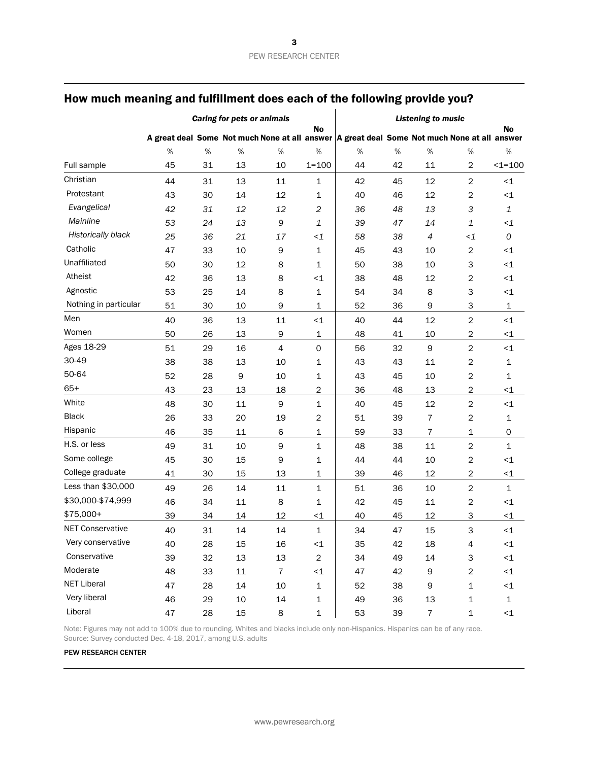|                         |    | <b>Caring for pets or animals</b> | <b>Listening to music</b> |                |                |    |                                                                                             |                  |                         |                     |
|-------------------------|----|-----------------------------------|---------------------------|----------------|----------------|----|---------------------------------------------------------------------------------------------|------------------|-------------------------|---------------------|
|                         |    |                                   | No                        |                |                |    | A great deal Some Not much None at all answer A great deal Some Not much None at all answer |                  |                         |                     |
|                         | %  | $\%$                              | %                         | %              | $\%$           | %  | %                                                                                           | %                | $\%$                    | $\%$                |
| Full sample             | 45 | 31                                | 13                        | 10             | $1 = 100$      | 44 | 42                                                                                          | 11               | 2                       | $1 = 100$           |
| Christian               | 44 | 31                                | 13                        | 11             | 1              | 42 | 45                                                                                          | 12               | 2                       | $\leq 1$            |
| Protestant              | 43 | 30                                | 14                        | 12             | 1              | 40 | 46                                                                                          | 12               | $\overline{c}$          | $\leq$ 1            |
| Evangelical             | 42 | 31                                | 12                        | 12             | $\overline{c}$ | 36 | 48                                                                                          | 13               | 3                       | $\mathbf 1$         |
| Mainline                | 53 | 24                                | 13                        | 9              | 1              | 39 | 47                                                                                          | 14               | 1                       | $\leq$ 1            |
| Historically black      | 25 | 36                                | 21                        | 17             | $\leq$ 1       | 58 | 38                                                                                          | $\sqrt{4}$       | $\leq$ 1                | 0                   |
| Catholic                | 47 | 33                                | 10                        | 9              | 1              | 45 | 43                                                                                          | 10               | 2                       | $\leq$ 1            |
| Unaffiliated            | 50 | 30                                | 12                        | 8              | 1              | 50 | 38                                                                                          | 10               | 3                       | ${<}\,1$            |
| Atheist                 | 42 | 36                                | 13                        | 8              | $\leq$ 1       | 38 | 48                                                                                          | 12               | 2                       | ${<}\,1$            |
| Agnostic                | 53 | 25                                | 14                        | 8              | $\mathbf 1$    | 54 | 34                                                                                          | 8                | З                       | $\leq$ 1            |
| Nothing in particular   | 51 | 30                                | 10                        | $\mathsf 9$    | 1              | 52 | 36                                                                                          | $\mathsf 9$      | 3                       | 1                   |
| Men                     | 40 | 36                                | 13                        | 11             | $\leq$ 1       | 40 | 44                                                                                          | 12               | $\overline{c}$          | ${<}\,1$            |
| Women                   | 50 | 26                                | 13                        | 9              | 1              | 48 | 41                                                                                          | 10               | $\overline{\mathbf{c}}$ | $\leq$ 1            |
| Ages 18-29              | 51 | 29                                | 16                        | $\overline{4}$ | $\mathsf{O}$   | 56 | 32                                                                                          | $\mathsf 9$      | $\overline{c}$          | ${<}\,1$            |
| 30-49                   | 38 | 38                                | 13                        | 10             | $\mathbf{1}$   | 43 | 43                                                                                          | 11               | $\overline{c}$          | 1                   |
| 50-64                   | 52 | 28                                | $\mathsf 9$               | 10             | 1              | 43 | 45                                                                                          | 10               | 2                       | 1                   |
| $65+$                   | 43 | 23                                | 13                        | 18             | 2              | 36 | 48                                                                                          | 13               | 2                       | $\leq$ 1            |
| White                   | 48 | 30                                | 11                        | 9              | $\mathbf{1}$   | 40 | 45                                                                                          | 12               | $\overline{c}$          | ${<}\,1$            |
| <b>Black</b>            | 26 | 33                                | 20                        | 19             | 2              | 51 | 39                                                                                          | $\overline{7}$   | $\overline{\mathbf{c}}$ | 1                   |
| Hispanic                | 46 | 35                                | 11                        | 6              | 1              | 59 | 33                                                                                          | $\overline{7}$   | 1                       | $\mathsf{O}\xspace$ |
| H.S. or less            | 49 | 31                                | 10                        | 9              | $\mathbf 1$    | 48 | 38                                                                                          | 11               | $\overline{c}$          | $\mathbf 1$         |
| Some college            | 45 | 30                                | 15                        | 9              | 1              | 44 | 44                                                                                          | 10               | $\overline{\mathbf{c}}$ | $\leq$ 1            |
| College graduate        | 41 | 30                                | 15                        | 13             | 1              | 39 | 46                                                                                          | 12               | 2                       | $\leq$ 1            |
| Less than \$30,000      | 49 | 26                                | 14                        | 11             | 1              | 51 | 36                                                                                          | 10               | 2                       | 1                   |
| \$30,000-\$74,999       | 46 | 34                                | 11                        | 8              | 1              | 42 | 45                                                                                          | 11               | 2                       | $\leq$ 1            |
| \$75,000+               | 39 | 34                                | 14                        | 12             | $\leq$ 1       | 40 | 45                                                                                          | 12               | 3                       | $\leq$ 1            |
| <b>NET Conservative</b> | 40 | 31                                | 14                        | 14             | $\mathbf{1}$   | 34 | 47                                                                                          | 15               | 3                       | ${<}\,1$            |
| Very conservative       | 40 | 28                                | 15                        | 16             | $\leq$ 1       | 35 | 42                                                                                          | 18               | 4                       | $\leq 1$            |
| Conservative            | 39 | 32                                | 13                        | 13             | $\overline{c}$ | 34 | 49                                                                                          | 14               | 3                       | ${<}1$              |
| Moderate                | 48 | 33                                | 11                        | $\bf 7$        | ${<}1$         | 47 | 42                                                                                          | $\boldsymbol{9}$ | $\overline{c}$          | ${<}1$              |
| <b>NET Liberal</b>      | 47 | 28                                | 14                        | 10             | $\mathbf 1$    | 52 | 38                                                                                          | $\mathsf 9$      | $\mathbf 1$             | ${<}1$              |
| Very liberal            | 46 | 29                                | 10                        | 14             | $\mathbf 1$    | 49 | 36                                                                                          | 13               | $\mathbf 1$             | $\mathbf 1$         |
| Liberal                 | 47 | 28                                | 15                        | 8              | $\mathbf 1$    | 53 | 39                                                                                          | $\overline{7}$   | $\mathbf 1$             | ${<}1$              |

Note: Figures may not add to 100% due to rounding. Whites and blacks include only non-Hispanics. Hispanics can be of any race. Source: Survey conducted Dec. 4-18, 2017, among U.S. adults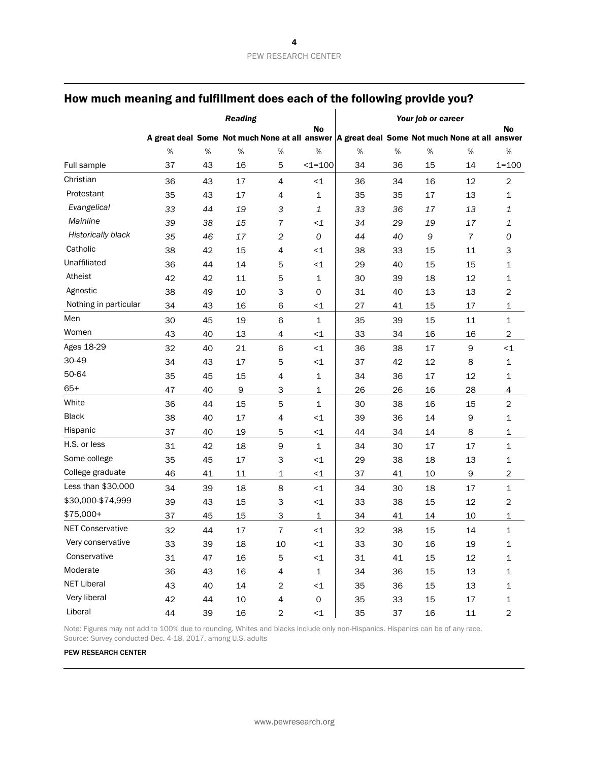|                         | <b>Reading</b> |    |        |                          |              | Your job or career                                                                          |    |    |                |                         |
|-------------------------|----------------|----|--------|--------------------------|--------------|---------------------------------------------------------------------------------------------|----|----|----------------|-------------------------|
|                         |                |    |        |                          | No           | A great deal Some Not much None at all answer A great deal Some Not much None at all answer |    |    |                | <b>No</b>               |
|                         | %              | %  | %      | $\%$                     | $\%$         | %                                                                                           | %  | %  | %              | %                       |
| Full sample             | 37             | 43 | 16     | 5                        | $1 = 100$    | 34                                                                                          | 36 | 15 | 14             | $1 = 100$               |
| Christian               | 36             | 43 | 17     | $\overline{4}$           | ~1           | 36                                                                                          | 34 | 16 | 12             | $\overline{\mathbf{c}}$ |
| Protestant              | 35             | 43 | 17     | 4                        | $\mathbf{1}$ | 35                                                                                          | 35 | 17 | 13             | 1                       |
| Evangelical             | 33             | 44 | 19     | 3                        | 1            | 33                                                                                          | 36 | 17 | 13             | 1                       |
| Mainline                | 39             | 38 | 15     | 7                        | $\leq$ 1     | 34                                                                                          | 29 | 19 | 17             | 1                       |
| Historically black      | 35             | 46 | 17     | $\overline{c}$           | 0            | 44                                                                                          | 40 | 9  | $\overline{7}$ | 0                       |
| Catholic                | 38             | 42 | 15     | $\overline{4}$           | ~1           | 38                                                                                          | 33 | 15 | 11             | З                       |
| Unaffiliated            | 36             | 44 | 14     | 5                        | $<1$         | 29                                                                                          | 40 | 15 | 15             | 1                       |
| Atheist                 | 42             | 42 | 11     | 5                        | $\mathbf{1}$ | 30                                                                                          | 39 | 18 | 12             | 1                       |
| Agnostic                | 38             | 49 | 10     | 3                        | 0            | 31                                                                                          | 40 | 13 | 13             | $\overline{c}$          |
| Nothing in particular   | 34             | 43 | 16     | 6                        | $\leq$ 1     | 27                                                                                          | 41 | 15 | 17             | 1                       |
| Men                     | 30             | 45 | 19     | 6                        | $\mathbf{1}$ | 35                                                                                          | 39 | 15 | 11             | 1                       |
| Women                   | 43             | 40 | 13     | $\overline{4}$           | $\leq 1$     | 33                                                                                          | 34 | 16 | 16             | $\overline{c}$          |
| Ages 18-29              | 32             | 40 | 21     | 6                        | $\leq$ 1     | 36                                                                                          | 38 | 17 | 9              | $<$ 1                   |
| 30-49                   | 34             | 43 | 17     | 5                        | $<1$         | 37                                                                                          | 42 | 12 | 8              | 1                       |
| 50-64                   | 35             | 45 | 15     | $\overline{\mathcal{A}}$ | $\mathbf 1$  | 34                                                                                          | 36 | 17 | 12             | 1                       |
| $65+$                   | 47             | 40 | 9      | 3                        | 1            | 26                                                                                          | 26 | 16 | 28             | 4                       |
| White                   | 36             | 44 | 15     | 5                        | $\mathbf 1$  | 30                                                                                          | 38 | 16 | 15             | $\sqrt{2}$              |
| <b>Black</b>            | 38             | 40 | 17     | $\overline{\mathcal{A}}$ | ~1           | 39                                                                                          | 36 | 14 | 9              | 1                       |
| Hispanic                | 37             | 40 | 19     | 5                        | $\leq$ 1     | 44                                                                                          | 34 | 14 | 8              | 1                       |
| H.S. or less            | 31             | 42 | 18     | $\mathsf 9$              | $\mathbf{1}$ | 34                                                                                          | 30 | 17 | 17             | 1                       |
| Some college            | 35             | 45 | 17     | 3                        | ~1           | 29                                                                                          | 38 | 18 | 13             | 1                       |
| College graduate        | 46             | 41 | 11     | $\mathbf 1$              | $\leq$ 1     | 37                                                                                          | 41 | 10 | 9              | $\overline{\mathbf{c}}$ |
| Less than \$30,000      | 34             | 39 | 18     | 8                        | $\leq$ 1     | 34                                                                                          | 30 | 18 | 17             | $\mathbf 1$             |
| \$30,000-\$74,999       | 39             | 43 | 15     | 3                        | $<1$         | 33                                                                                          | 38 | 15 | 12             | $\overline{\mathbf{c}}$ |
| $$75,000+$              | 37             | 45 | 15     | 3                        | $\mathbf 1$  | 34                                                                                          | 41 | 14 | 10             | 1                       |
| <b>NET Conservative</b> | 32             | 44 | 17     | $\overline{7}$           | $<1$         | 32                                                                                          | 38 | 15 | 14             | $\mathbf 1$             |
| Very conservative       | 33             | 39 | 18     | 10                       | $\leq$ 1     | 33                                                                                          | 30 | 16 | 19             | 1                       |
| Conservative            | 31             | 47 | 16     | 5                        | ${<}1$       | 31                                                                                          | 41 | 15 | 12             | $\mathbf 1$             |
| Moderate                | 36             | 43 | 16     | 4                        | $\mathbf 1$  | 34                                                                                          | 36 | 15 | 13             | 1                       |
| <b>NET Liberal</b>      | 43             | 40 | 14     | $\sqrt{2}$               | $\leq 1$     | 35                                                                                          | 36 | 15 | 13             | 1                       |
| Very liberal            | 42             | 44 | $10\,$ | $\sqrt{4}$               | $\mathsf O$  | 35                                                                                          | 33 | 15 | $17\,$         | $\mathbf 1$             |
| Liberal                 | 44             | 39 | 16     | $\overline{c}$           | ${<}1$       | 35                                                                                          | 37 | 16 | $11\,$         | $\overline{\mathbf{c}}$ |

Note: Figures may not add to 100% due to rounding. Whites and blacks include only non-Hispanics. Hispanics can be of any race. Source: Survey conducted Dec. 4-18, 2017, among U.S. adults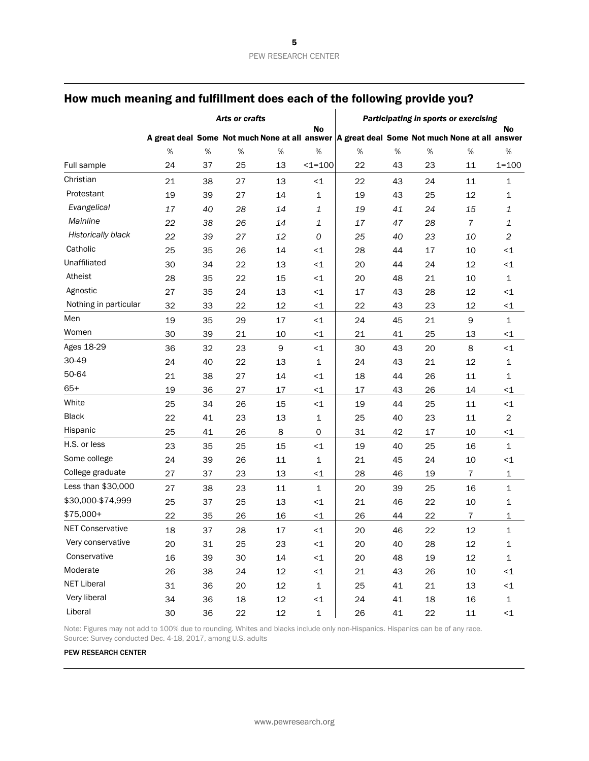|                         | Arts or crafts                                                                              |      |    |        |                     | Participating in sports or exercising |    |      |                |                         |
|-------------------------|---------------------------------------------------------------------------------------------|------|----|--------|---------------------|---------------------------------------|----|------|----------------|-------------------------|
|                         | A great deal Some Not much None at all answer A great deal Some Not much None at all answer |      |    |        | No                  |                                       |    |      |                | No                      |
|                         | $\%$                                                                                        | $\%$ | %  | $\%$   | $\%$                | %                                     | %  | $\%$ | %              | $\%$                    |
| Full sample             | 24                                                                                          | 37   | 25 | 13     | $1 = 100$           | 22                                    | 43 | 23   | 11             | $1 = 100$               |
| Christian               | 21                                                                                          | 38   | 27 | 13     | $<1$                | 22                                    | 43 | 24   | 11             | 1                       |
| Protestant              | 19                                                                                          | 39   | 27 | 14     | $\mathbf 1$         | 19                                    | 43 | 25   | 12             | 1                       |
| Evangelical             | 17                                                                                          | 40   | 28 | 14     | $\mathbf 1$         | 19                                    | 41 | 24   | 15             | 1                       |
| Mainline                | 22                                                                                          | 38   | 26 | 14     | $\mathbf{1}$        | 17                                    | 47 | 28   | $\overline{7}$ | 1                       |
| Historically black      | 22                                                                                          | 39   | 27 | 12     | 0                   | 25                                    | 40 | 23   | 10             | $\overline{\mathbf{c}}$ |
| Catholic                | 25                                                                                          | 35   | 26 | 14     | $\leq$ 1            | 28                                    | 44 | 17   | 10             | $\leq$ 1                |
| Unaffiliated            | 30                                                                                          | 34   | 22 | 13     | $\leq$ 1            | 20                                    | 44 | 24   | 12             | ${<}\,1$                |
| Atheist                 | 28                                                                                          | 35   | 22 | 15     | $\leq$ 1            | 20                                    | 48 | 21   | 10             | 1                       |
| Agnostic                | 27                                                                                          | 35   | 24 | 13     | $\leq$ 1            | 17                                    | 43 | 28   | 12             | ${<}\,1$                |
| Nothing in particular   | 32                                                                                          | 33   | 22 | 12     | $\leq$ 1            | 22                                    | 43 | 23   | 12             | $\leq$ 1                |
| Men                     | 19                                                                                          | 35   | 29 | 17     | $<1$                | 24                                    | 45 | 21   | 9              | 1                       |
| Women                   | 30                                                                                          | 39   | 21 | 10     | $\leq$ 1            | 21                                    | 41 | 25   | 13             | $\leq$ 1                |
| Ages 18-29              | 36                                                                                          | 32   | 23 | 9      | $\leq 1$            | 30                                    | 43 | 20   | 8              | ${<}\,1$                |
| 30-49                   | 24                                                                                          | 40   | 22 | 13     | $\mathbf 1$         | 24                                    | 43 | 21   | 12             | 1                       |
| 50-64                   | 21                                                                                          | 38   | 27 | 14     | $\leq$ 1            | 18                                    | 44 | 26   | 11             | 1                       |
| $65+$                   | 19                                                                                          | 36   | 27 | 17     | $<1$                | 17                                    | 43 | 26   | 14             | ${<}\,1$                |
| White                   | 25                                                                                          | 34   | 26 | 15     | $\leq 1$            | 19                                    | 44 | 25   | $11\,$         | ${<}\,1$                |
| <b>Black</b>            | 22                                                                                          | 41   | 23 | 13     | $\mathbf 1$         | 25                                    | 40 | 23   | 11             | $\overline{\mathbf{c}}$ |
| Hispanic                | 25                                                                                          | 41   | 26 | 8      | $\mathsf{O}\xspace$ | 31                                    | 42 | 17   | 10             | $\leq$ 1                |
| H.S. or less            | 23                                                                                          | 35   | 25 | 15     | $\leq$ 1            | 19                                    | 40 | 25   | 16             | $\mathbf 1$             |
| Some college            | 24                                                                                          | 39   | 26 | $11\,$ | $\mathbf 1$         | 21                                    | 45 | 24   | 10             | $\leq$ 1                |
| College graduate        | 27                                                                                          | 37   | 23 | 13     | $\leq$ 1            | 28                                    | 46 | 19   | $\overline{7}$ | 1                       |
| Less than \$30,000      | 27                                                                                          | 38   | 23 | 11     | $\mathbf 1$         | 20                                    | 39 | 25   | 16             | 1                       |
| \$30,000-\$74,999       | 25                                                                                          | 37   | 25 | 13     | $\leq$ 1            | 21                                    | 46 | 22   | 10             | 1                       |
| \$75,000+               | 22                                                                                          | 35   | 26 | 16     | $<1$                | 26                                    | 44 | 22   | 7              | 1                       |
| <b>NET Conservative</b> | 18                                                                                          | 37   | 28 | 17     | $<1$                | 20                                    | 46 | 22   | 12             | $\mathbf 1$             |
| Very conservative       | 20                                                                                          | 31   | 25 | 23     | <1                  | 20                                    | 40 | 28   | 12             | 1                       |
| Conservative            | 16                                                                                          | 39   | 30 | 14     | ${<}1$              | 20                                    | 48 | 19   | $12\,$         | $\mathbf 1$             |
| Moderate                | 26                                                                                          | 38   | 24 | 12     | ${<}1$              | 21                                    | 43 | 26   | $10$           | ${<}1$                  |
| <b>NET Liberal</b>      | 31                                                                                          | 36   | 20 | 12     | $\mathbf 1$         | 25                                    | 41 | 21   | 13             | ${<}1$                  |
| Very liberal            | 34                                                                                          | 36   | 18 | 12     | ${<}1$              | 24                                    | 41 | 18   | 16             | $\mathbf 1$             |
| Liberal                 | 30                                                                                          | 36   | 22 | 12     | $\mathbf 1$         | 26                                    | 41 | 22   | $11\,$         | $\leq$ 1                |

Note: Figures may not add to 100% due to rounding. Whites and blacks include only non-Hispanics. Hispanics can be of any race. Source: Survey conducted Dec. 4-18, 2017, among U.S. adults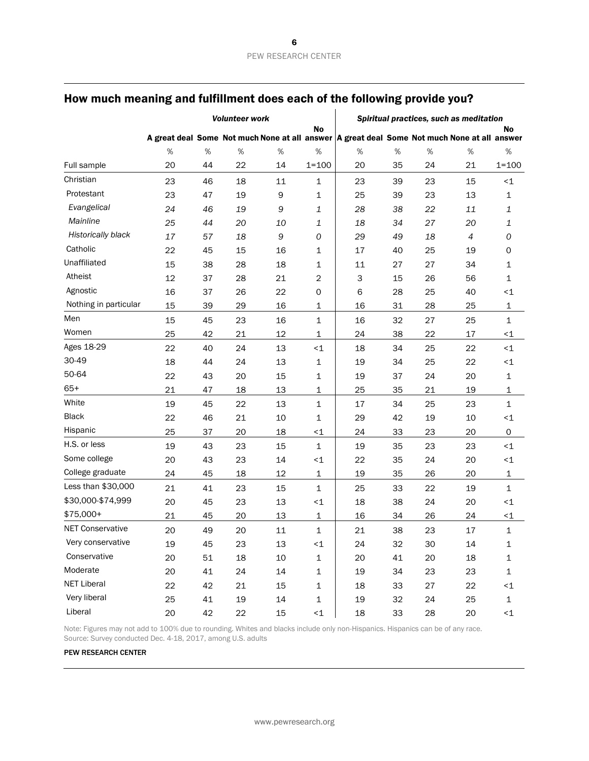|                         | <b>Volunteer work</b> |    |    |      |                | Spiritual practices, such as meditation                                                     |    |      |    |                     |
|-------------------------|-----------------------|----|----|------|----------------|---------------------------------------------------------------------------------------------|----|------|----|---------------------|
|                         |                       |    |    |      | No             | A great deal Some Not much None at all answer A great deal Some Not much None at all answer |    |      |    | No                  |
|                         | %                     | %  | %  | $\%$ | %              | %                                                                                           | %  | $\%$ | %  | $\%$                |
| Full sample             | 20                    | 44 | 22 | 14   | $1 = 100$      | 20                                                                                          | 35 | 24   | 21 | $1 = 100$           |
| Christian               | 23                    | 46 | 18 | 11   | 1              | 23                                                                                          | 39 | 23   | 15 | ${<}\,1$            |
| Protestant              | 23                    | 47 | 19 | 9    | 1              | 25                                                                                          | 39 | 23   | 13 | 1                   |
| Evangelical             | 24                    | 46 | 19 | 9    | 1              | 28                                                                                          | 38 | 22   | 11 | 1                   |
| Mainline                | 25                    | 44 | 20 | 10   | 1              | 18                                                                                          | 34 | 27   | 20 | 1                   |
| Historically black      | 17                    | 57 | 18 | 9    | 0              | 29                                                                                          | 49 | 18   | 4  | 0                   |
| Catholic                | 22                    | 45 | 15 | 16   | 1              | 17                                                                                          | 40 | 25   | 19 | 0                   |
| Unaffiliated            | 15                    | 38 | 28 | 18   | 1              | 11                                                                                          | 27 | 27   | 34 | 1                   |
| Atheist                 | 12                    | 37 | 28 | 21   | $\overline{c}$ | 3                                                                                           | 15 | 26   | 56 | $\mathbf 1$         |
| Agnostic                | 16                    | 37 | 26 | 22   | 0              | 6                                                                                           | 28 | 25   | 40 | $\leq$ 1            |
| Nothing in particular   | 15                    | 39 | 29 | 16   | 1              | 16                                                                                          | 31 | 28   | 25 | 1                   |
| Men                     | 15                    | 45 | 23 | 16   | $\mathbf 1$    | 16                                                                                          | 32 | 27   | 25 | $\mathbf 1$         |
| Women                   | 25                    | 42 | 21 | 12   | 1              | 24                                                                                          | 38 | 22   | 17 | $\leq$ 1            |
| Ages 18-29              | 22                    | 40 | 24 | 13   | $<1$           | 18                                                                                          | 34 | 25   | 22 | ${<}\,1$            |
| 30-49                   | 18                    | 44 | 24 | 13   | 1              | 19                                                                                          | 34 | 25   | 22 | $\leq$ 1            |
| 50-64                   | 22                    | 43 | 20 | 15   | 1              | 19                                                                                          | 37 | 24   | 20 | 1                   |
| $65+$                   | 21                    | 47 | 18 | 13   | 1              | 25                                                                                          | 35 | 21   | 19 | 1                   |
| White                   | 19                    | 45 | 22 | 13   | 1              | 17                                                                                          | 34 | 25   | 23 | $\mathbf{1}$        |
| <b>Black</b>            | 22                    | 46 | 21 | 10   | 1              | 29                                                                                          | 42 | 19   | 10 | $\leq$ 1            |
| Hispanic                | 25                    | 37 | 20 | 18   | $<1$           | 24                                                                                          | 33 | 23   | 20 | $\mathsf{O}\xspace$ |
| H.S. or less            | 19                    | 43 | 23 | 15   | $\mathbf{1}$   | 19                                                                                          | 35 | 23   | 23 | $\leq$ 1            |
| Some college            | 20                    | 43 | 23 | 14   | $<1$           | 22                                                                                          | 35 | 24   | 20 | $\leq$ 1            |
| College graduate        | 24                    | 45 | 18 | 12   | $\mathbf 1$    | 19                                                                                          | 35 | 26   | 20 | 1                   |
| Less than \$30,000      | 21                    | 41 | 23 | 15   | $\mathbf{1}$   | 25                                                                                          | 33 | 22   | 19 | $\mathbf{1}$        |
| \$30,000-\$74,999       | 20                    | 45 | 23 | 13   | $<1$           | 18                                                                                          | 38 | 24   | 20 | $\leq$ 1            |
| \$75,000+               | 21                    | 45 | 20 | 13   | $\mathbf 1$    | 16                                                                                          | 34 | 26   | 24 | $\leq$ 1            |
| <b>NET Conservative</b> | 20                    | 49 | 20 | 11   | 1              | 21                                                                                          | 38 | 23   | 17 | $\mathbf 1$         |
| Very conservative       | 19                    | 45 | 23 | 13   | $\leq$ 1       | 24                                                                                          | 32 | 30   | 14 | 1                   |
| Conservative            | 20                    | 51 | 18 | 10   | $\mathbf 1$    | 20                                                                                          | 41 | 20   | 18 | $\mathbf 1$         |
| Moderate                | 20                    | 41 | 24 | 14   | $\mathbf 1$    | 19                                                                                          | 34 | 23   | 23 | $\mathbf 1$         |
| <b>NET Liberal</b>      | 22                    | 42 | 21 | 15   | $\mathbf 1$    | 18                                                                                          | 33 | 27   | 22 | $\leq$ 1            |
| Very liberal            | 25                    | 41 | 19 | 14   | $\mathbf 1$    | 19                                                                                          | 32 | 24   | 25 | $\mathbf 1$         |
| Liberal                 | 20                    | 42 | 22 | 15   | ${<}1$         | 18                                                                                          | 33 | 28   | 20 | $\leq$ 1            |

Note: Figures may not add to 100% due to rounding. Whites and blacks include only non-Hispanics. Hispanics can be of any race. Source: Survey conducted Dec. 4-18, 2017, among U.S. adults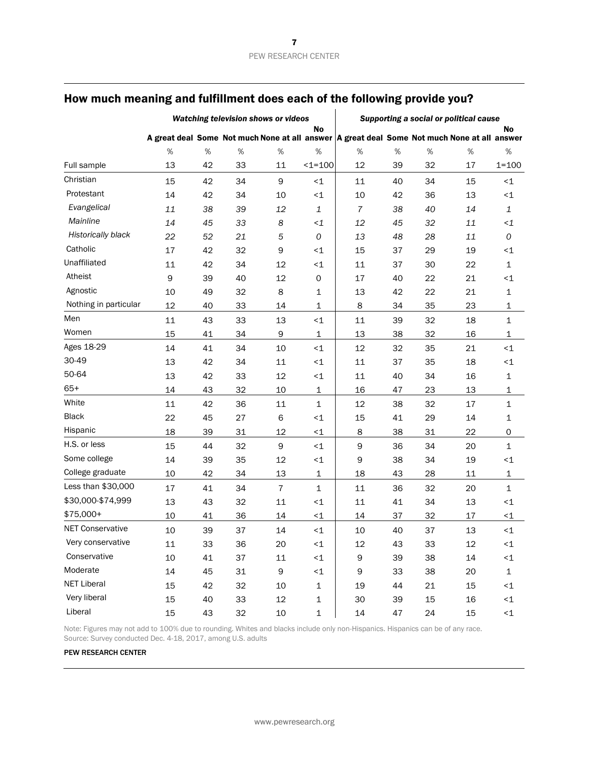|                         | Watching television shows or videos |    |    |                |              | Supporting a social or political cause                                                        |    |    |        |              |
|-------------------------|-------------------------------------|----|----|----------------|--------------|-----------------------------------------------------------------------------------------------|----|----|--------|--------------|
|                         |                                     |    |    |                | No           | A great deal Some Not much None at all answer   A great deal Some Not much None at all answer |    |    |        | <b>No</b>    |
|                         | %                                   | %  | %  | %              | %            | %                                                                                             | %  | %  | %      | %            |
| Full sample             | 13                                  | 42 | 33 | 11             | $1 = 100$    | 12                                                                                            | 39 | 32 | 17     | $1 = 100$    |
| Christian               | 15                                  | 42 | 34 | 9              | $\leq 1$     | 11                                                                                            | 40 | 34 | 15     | ${<}1$       |
| Protestant              | 14                                  | 42 | 34 | 10             | $\leq$ 1     | 10                                                                                            | 42 | 36 | 13     | ${<}1$       |
| Evangelical             | 11                                  | 38 | 39 | 12             | $\mathbf{1}$ | 7                                                                                             | 38 | 40 | 14     | 1            |
| Mainline                | 14                                  | 45 | 33 | 8              | $\leq$ 1     | 12                                                                                            | 45 | 32 | 11     | $\leq$ 1     |
| Historically black      | 22                                  | 52 | 21 | 5              | $\cal O$     | 13                                                                                            | 48 | 28 | 11     | 0            |
| Catholic                | 17                                  | 42 | 32 | 9              | $\leq$ 1     | 15                                                                                            | 37 | 29 | 19     | $\leq$ 1     |
| Unaffiliated            | 11                                  | 42 | 34 | 12             | $\leq$ 1     | 11                                                                                            | 37 | 30 | 22     | 1            |
| Atheist                 | 9                                   | 39 | 40 | 12             | 0            | 17                                                                                            | 40 | 22 | 21     | $\leq$ 1     |
| Agnostic                | 10                                  | 49 | 32 | 8              | 1            | 13                                                                                            | 42 | 22 | 21     | 1            |
| Nothing in particular   | 12                                  | 40 | 33 | 14             | 1            | 8                                                                                             | 34 | 35 | 23     | 1            |
| Men                     | 11                                  | 43 | 33 | 13             | $\leq 1$     | 11                                                                                            | 39 | 32 | 18     | $1\,$        |
| Women                   | 15                                  | 41 | 34 | 9              | $\mathbf{1}$ | 13                                                                                            | 38 | 32 | 16     | 1            |
| Ages 18-29              | 14                                  | 41 | 34 | 10             | $\leq$ 1     | 12                                                                                            | 32 | 35 | 21     | ${<}\,1$     |
| 30-49                   | 13                                  | 42 | 34 | 11             | $\leq$ 1     | 11                                                                                            | 37 | 35 | 18     | ${<}1$       |
| 50-64                   | 13                                  | 42 | 33 | 12             | $\leq$ 1     | 11                                                                                            | 40 | 34 | 16     | 1            |
| $65+$                   | 14                                  | 43 | 32 | 10             | $\mathbf 1$  | 16                                                                                            | 47 | 23 | 13     | 1            |
| White                   | 11                                  | 42 | 36 | $11\,$         | $\mathbf 1$  | 12                                                                                            | 38 | 32 | 17     | 1            |
| <b>Black</b>            | 22                                  | 45 | 27 | 6              | $\leq$ 1     | 15                                                                                            | 41 | 29 | 14     | 1            |
| Hispanic                | 18                                  | 39 | 31 | 12             | $\leq$ 1     | 8                                                                                             | 38 | 31 | 22     | 0            |
| H.S. or less            | 15                                  | 44 | 32 | 9              | $\leq$ 1     | 9                                                                                             | 36 | 34 | 20     | $\mathbf 1$  |
| Some college            | 14                                  | 39 | 35 | 12             | $\leq$ 1     | 9                                                                                             | 38 | 34 | 19     | ${<}\,1$     |
| College graduate        | 10                                  | 42 | 34 | 13             | $\mathbf{1}$ | 18                                                                                            | 43 | 28 | 11     | 1            |
| Less than \$30,000      | 17                                  | 41 | 34 | $\overline{7}$ | 1            | 11                                                                                            | 36 | 32 | 20     | $\mathbf 1$  |
| \$30,000-\$74,999       | 13                                  | 43 | 32 | $11\,$         | $\leq$ 1     | 11                                                                                            | 41 | 34 | 13     | $\leq$ 1     |
| $$75,000+$              | 10                                  | 41 | 36 | 14             | $\leq$ 1     | 14                                                                                            | 37 | 32 | 17     | $\leq$ 1     |
| <b>NET Conservative</b> | 10                                  | 39 | 37 | 14             | $\leq$ 1     | 10                                                                                            | 40 | 37 | 13     | $\leq$ 1     |
| Very conservative       | 11                                  | 33 | 36 | 20             | ${<}1$       | 12                                                                                            | 43 | 33 | 12     | $\leq$ 1     |
| Conservative            | 10                                  | 41 | 37 | 11             | $\leq$ 1     | 9                                                                                             | 39 | 38 | 14     | ${<}1$       |
| Moderate                | 14                                  | 45 | 31 | 9              | $\leq$ 1     | 9                                                                                             | 33 | 38 | 20     | $\mathbf{1}$ |
| NET Liberal             | 15                                  | 42 | 32 | 10             | $\mathbf 1$  | 19                                                                                            | 44 | 21 | 15     | ${<}1$       |
| Very liberal            | 15                                  | 40 | 33 | 12             | $\mathbf 1$  | 30                                                                                            | 39 | 15 | 16     | ${<}1$       |
| Liberal                 | 15                                  | 43 | 32 | 10             | $\mathbf{1}$ | 14                                                                                            | 47 | 24 | $15\,$ | ${ <}1 \,$   |

Note: Figures may not add to 100% due to rounding. Whites and blacks include only non-Hispanics. Hispanics can be of any race. Source: Survey conducted Dec. 4-18, 2017, among U.S. adults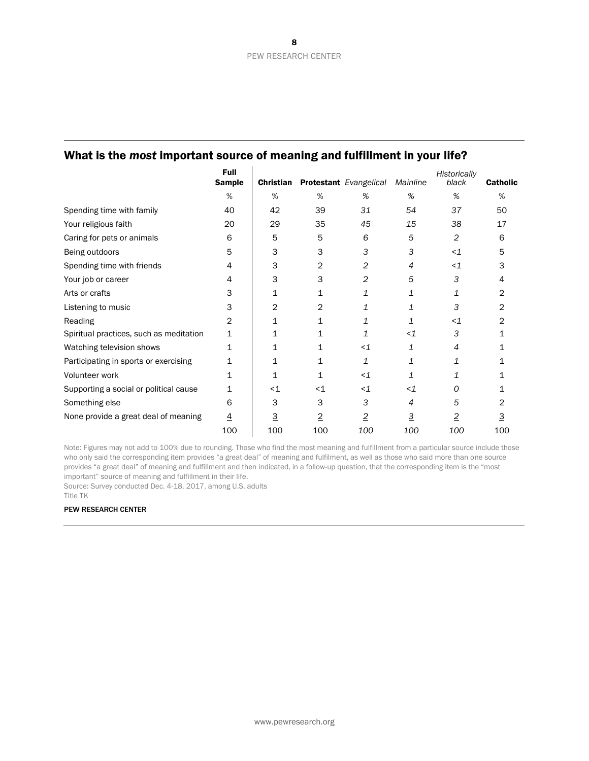|                                         | <b>Full</b><br><b>Sample</b> | Christian |       | <b>Protestant</b> Evangelical | Mainline       | Historically<br>black | <b>Catholic</b> |
|-----------------------------------------|------------------------------|-----------|-------|-------------------------------|----------------|-----------------------|-----------------|
|                                         | %                            | %         | %     | %                             | %              | %                     | %               |
| Spending time with family               | 40                           | 42        | 39    | 31                            | 54             | 37                    | 50              |
| Your religious faith                    | 20                           | 29        | 35    | 45                            | 15             | 38                    | 17              |
| Caring for pets or animals              | 6                            | 5         | 5     | 6                             | 5              | 2                     | 6               |
| Being outdoors                          | 5                            | 3         | 3     | 3                             | 3              | $\leq$ 1              | 5               |
| Spending time with friends              | 4                            | 3         | 2     | 2                             | 4              | $\leq$ 1              |                 |
| Your job or career                      | 4                            | 3         | 3     | 2                             | 5              | 3                     | 4               |
| Arts or crafts                          | 3                            | 1         | 1     | 1                             | 1              | 1                     | 2               |
| Listening to music                      | 3                            | 2         | 2     | 1                             | 1              | 3                     | 2               |
| Reading                                 | 2                            | 1         | 1     | 1                             |                | $\leq$ 1              | 2               |
| Spiritual practices, such as meditation | 1                            | 1         | 1     | 1                             | $<$ 1          | 3                     |                 |
| Watching television shows               | 1                            | 1         |       | $\leq$ 1                      | 1              | 4                     |                 |
| Participating in sports or exercising   |                              |           |       | 1                             | 1              | 1                     |                 |
| Volunteer work                          | 1                            | 1         | 1     | $\leq$ 1                      | 1              | 1                     |                 |
| Supporting a social or political cause  |                              | $<$ 1     | $<$ 1 | $\leq$ 1                      | $<$ 1          | Ο                     |                 |
| Something else                          | 6                            | 3         | 3     | 3                             | 4              | 5                     | 2               |
| None provide a great deal of meaning    | 4                            | 3         | 2     | 2                             | $\overline{3}$ | $\overline{2}$        | 3               |
|                                         | 100                          | 100       | 100   | 100                           | 100            | 100                   | 100             |

Note: Figures may not add to 100% due to rounding. Those who find the most meaning and fulfillment from a particular source include those who only said the corresponding item provides "a great deal" of meaning and fulfilment, as well as those who said more than one source provides "a great deal" of meaning and fulfillment and then indicated, in a follow-up question, that the corresponding item is the "most important" source of meaning and fulfillment in their life.

Source: Survey conducted Dec. 4-18, 2017, among U.S. adults

Title TK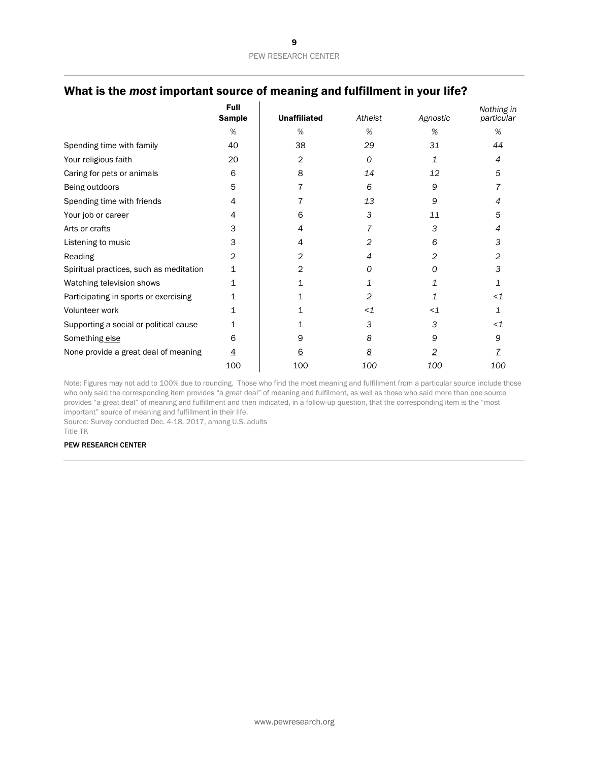|                                         | <b>Full</b><br><b>Sample</b> | <b>Unaffiliated</b> | Atheist        | Agnostic | Nothing in<br>particular |
|-----------------------------------------|------------------------------|---------------------|----------------|----------|--------------------------|
|                                         | %                            | %                   | %              | %        | %                        |
| Spending time with family               | 40                           | 38                  | 29             | 31       | 44                       |
| Your religious faith                    | 20                           | 2                   | 0              | 1        | 4                        |
| Caring for pets or animals              | 6                            | 8                   | 14             | 12       | 5                        |
| Being outdoors                          | 5                            |                     | 6              | 9        |                          |
| Spending time with friends              | 4                            |                     | 13             | 9        | 4                        |
| Your job or career                      | 4                            | 6                   | 3              | 11       | 5                        |
| Arts or crafts                          | 3                            | 4                   | 7              | 3        | 4                        |
| Listening to music                      | 3                            | 4                   | $\overline{2}$ | 6        | 3                        |
| Reading                                 | 2                            | 2                   | 4              | 2        | 2                        |
| Spiritual practices, such as meditation | 1                            | 2                   | Ο              | Ω        | 3                        |
| Watching television shows               |                              |                     |                |          |                          |
| Participating in sports or exercising   |                              |                     | 2              |          | $<$ 1                    |
| Volunteer work                          |                              |                     | $\leq$ 1       | $\leq$ 1 | 1                        |
| Supporting a social or political cause  | 1                            |                     | 3              | 3        | < 1                      |
| Something else                          | 6                            | 9                   | 8              | 9        | 9                        |
| None provide a great deal of meaning    | $\overline{4}$               | <u>6</u>            | <u>8</u>       | 2        |                          |
|                                         | 100                          | 100                 | 100            | 100      | 100                      |

Note: Figures may not add to 100% due to rounding. Those who find the most meaning and fulfillment from a particular source include those who only said the corresponding item provides "a great deal" of meaning and fulfilment, as well as those who said more than one source provides "a great deal" of meaning and fulfillment and then indicated, in a follow-up question, that the corresponding item is the "most important" source of meaning and fulfillment in their life.

Source: Survey conducted Dec. 4-18, 2017, among U.S. adults

Title TK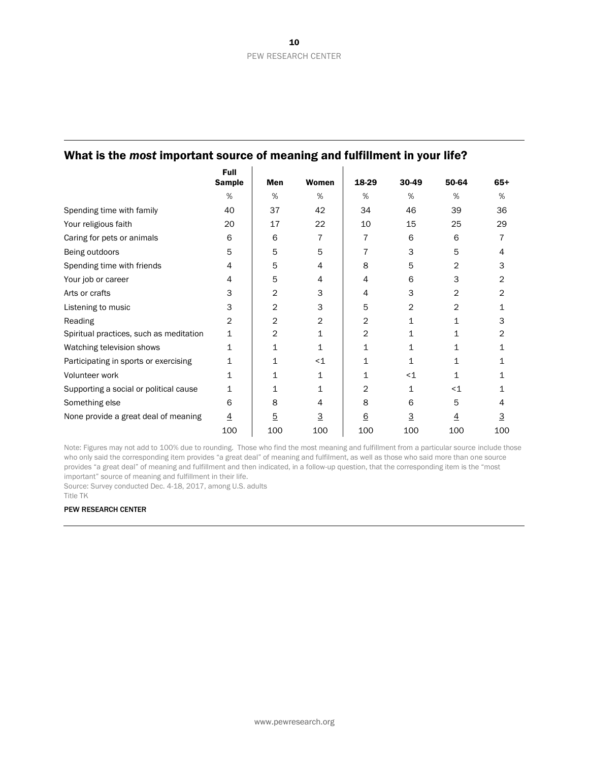|                                         | <b>Full</b>    |                |              |                 |          |                |          |
|-----------------------------------------|----------------|----------------|--------------|-----------------|----------|----------------|----------|
|                                         | <b>Sample</b>  | Men            | <b>Women</b> | 18-29           | 30-49    | 50-64          | $65+$    |
|                                         | %              | %              | %            | %               | %        | %              | %        |
| Spending time with family               | 40             | 37             | 42           | 34              | 46       | 39             | 36       |
| Your religious faith                    | 20             | 17             | 22           | 10              | 15       | 25             | 29       |
| Caring for pets or animals              | 6              | 6              | 7            | 7               | 6        | 6              |          |
| Being outdoors                          | 5              | 5              | 5            | 7               | 3        | 5              | 4        |
| Spending time with friends              | 4              | 5              | 4            | 8               | 5        | $\overline{2}$ | 3        |
| Your job or career                      | 4              | 5              | 4            | 4               | 6        | 3              | 2        |
| Arts or crafts                          | 3              | 2              | 3            | 4               | 3        | 2              | 2        |
| Listening to music                      | 3              | $\overline{c}$ | 3            | 5               | 2        | 2              | 1        |
| Reading                                 | $\overline{2}$ | $\overline{c}$ | 2            | 2               | 1        | 1              | 3        |
| Spiritual practices, such as meditation | 1              | 2              | 1            | 2               | 1        | 1              | 2        |
| Watching television shows               | 1              | 1              | 1            | 1               | 1        | 1              | 1        |
| Participating in sports or exercising   | 1              | 1              | $<$ 1        |                 | 1        | 1              |          |
| Volunteer work                          | 1              | 1              | 1            | 1               | $<$ 1    | 1              | 1        |
| Supporting a social or political cause  | 1              | 1              | 1            | 2               | 1        | $<$ 1          | 1        |
| Something else                          | 6              | 8              | 4            | 8               | 6        | 5              | 4        |
| None provide a great deal of meaning    | $\overline{4}$ | $\overline{5}$ | <u>з</u>     | $\underline{6}$ | <u>з</u> | 4              | <u>з</u> |
|                                         | 100            | 100            | 100          | 100             | 100      | 100            | 100      |

Note: Figures may not add to 100% due to rounding. Those who find the most meaning and fulfillment from a particular source include those who only said the corresponding item provides "a great deal" of meaning and fulfilment, as well as those who said more than one source provides "a great deal" of meaning and fulfillment and then indicated, in a follow-up question, that the corresponding item is the "most important" source of meaning and fulfillment in their life.

Source: Survey conducted Dec. 4-18, 2017, among U.S. adults

Title TK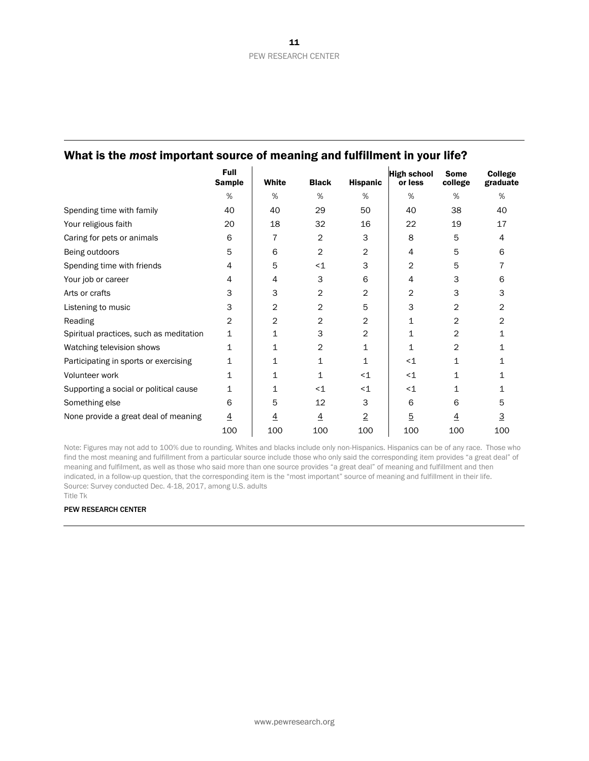|                                         | <b>Full</b><br><b>Sample</b> | White          | <b>Black</b>   | <b>Hispanic</b> | <b>High school</b><br>or less | <b>Some</b><br>college | <b>College</b><br>graduate |
|-----------------------------------------|------------------------------|----------------|----------------|-----------------|-------------------------------|------------------------|----------------------------|
|                                         | %                            | %              | %              | %               | %                             | %                      | %                          |
| Spending time with family               | 40                           | 40             | 29             | 50              | 40                            | 38                     | 40                         |
| Your religious faith                    | 20                           | 18             | 32             | 16              | 22                            | 19                     | 17                         |
| Caring for pets or animals              | 6                            | 7              | 2              | 3               | 8                             | 5                      | 4                          |
| Being outdoors                          | 5                            | 6              | 2              | 2               | 4                             | 5                      | 6                          |
| Spending time with friends              | 4                            | 5              | $<$ 1          | 3               | 2                             | 5                      |                            |
| Your job or career                      | 4                            | 4              | 3              | 6               | 4                             | 3                      | 6                          |
| Arts or crafts                          | 3                            | 3              | 2              | 2               | 2                             | 3                      | 3                          |
| Listening to music                      | 3                            | $\overline{2}$ | 2              | 5               | 3                             | 2                      | 2                          |
| Reading                                 | 2                            | $\overline{2}$ | 2              | 2               | 1                             | 2                      | 2                          |
| Spiritual practices, such as meditation | 1                            | 1              | 3              | 2               | 1                             | 2                      |                            |
| Watching television shows               | 1                            | 1              | 2              | 1               | 1                             | 2                      |                            |
| Participating in sports or exercising   | 1                            | 1              | 1              | 1               | $<$ 1                         | 1                      |                            |
| Volunteer work                          | 1                            | 1              | 1              | $<$ 1           | $<$ 1                         | 1                      |                            |
| Supporting a social or political cause  | 1                            | 1              | $<$ 1          | $<$ 1           | $<$ 1                         | 1                      |                            |
| Something else                          | 6                            | 5              | 12             | 3               | 6                             | 6                      | 5                          |
| None provide a great deal of meaning    | $\overline{4}$               | 4              | $\overline{4}$ | $\overline{2}$  | $\overline{5}$                | 4                      | 3                          |
|                                         | 100                          | 100            | 100            | 100             | 100                           | 100                    | 100                        |

Note: Figures may not add to 100% due to rounding. Whites and blacks include only non-Hispanics. Hispanics can be of any race. Those who find the most meaning and fulfillment from a particular source include those who only said the corresponding item provides "a great deal" of meaning and fulfilment, as well as those who said more than one source provides "a great deal" of meaning and fulfillment and then indicated, in a follow-up question, that the corresponding item is the "most important" source of meaning and fulfillment in their life. Source: Survey conducted Dec. 4-18, 2017, among U.S. adults Title Tk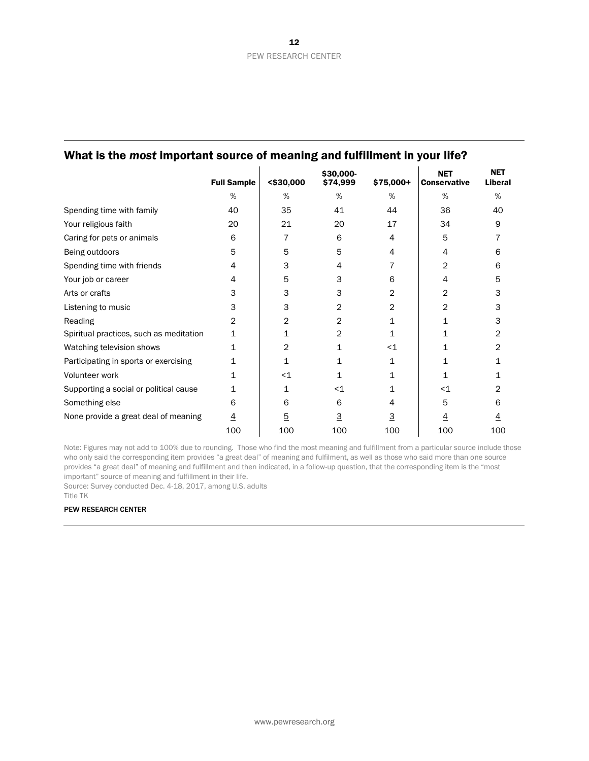|                                         | <b>Full Sample</b> | $<$ \$30,000 | \$30,000-<br>\$74,999 | \$75,000+ | <b>NET</b><br><b>Conservative</b> | <b>NET</b><br>Liberal |
|-----------------------------------------|--------------------|--------------|-----------------------|-----------|-----------------------------------|-----------------------|
|                                         | %                  | %            | %                     | %         | %                                 | %                     |
| Spending time with family               | 40                 | 35           | 41                    | 44        | 36                                | 40                    |
| Your religious faith                    | 20                 | 21           | 20                    | 17        | 34                                | 9                     |
| Caring for pets or animals              | 6                  | 7            | 6                     | 4         | 5                                 |                       |
| Being outdoors                          | 5                  | 5            | 5                     | 4         | 4                                 | 6                     |
| Spending time with friends              | 4                  | 3            | 4                     |           | 2                                 | 6                     |
| Your job or career                      | 4                  | 5            | 3                     | 6         | 4                                 |                       |
| Arts or crafts                          | 3                  | 3            | 3                     | 2         | 2                                 | з                     |
| Listening to music                      | 3                  | 3            | 2                     | 2         | 2                                 | 3                     |
| Reading                                 | 2                  | 2            | 2                     | 1         | 1                                 | 3                     |
| Spiritual practices, such as meditation | 1                  | 1            | 2                     | 1         | 1                                 | 2                     |
| Watching television shows               | 1                  | 2            | 1                     | $<$ 1     | 1                                 |                       |
| Participating in sports or exercising   | 1                  | 1            |                       | 1         | 1                                 |                       |
| Volunteer work                          | 1                  | $<$ 1        | 1                     | 1         |                                   |                       |
| Supporting a social or political cause  | 1                  | 1            | $\leq$ 1              | 1         | $<$ 1                             |                       |
| Something else                          | 6                  | 6            | 6                     | 4         | 5                                 | 6                     |
| None provide a great deal of meaning    | <u>4</u>           | <u>5</u>     | 3                     | 3         | 4                                 |                       |
|                                         | 100                | 100          | 100                   | 100       | 100                               | 100                   |

Note: Figures may not add to 100% due to rounding. Those who find the most meaning and fulfillment from a particular source include those who only said the corresponding item provides "a great deal" of meaning and fulfilment, as well as those who said more than one source provides "a great deal" of meaning and fulfillment and then indicated, in a follow-up question, that the corresponding item is the "most important" source of meaning and fulfillment in their life.

Source: Survey conducted Dec. 4-18, 2017, among U.S. adults

Title TK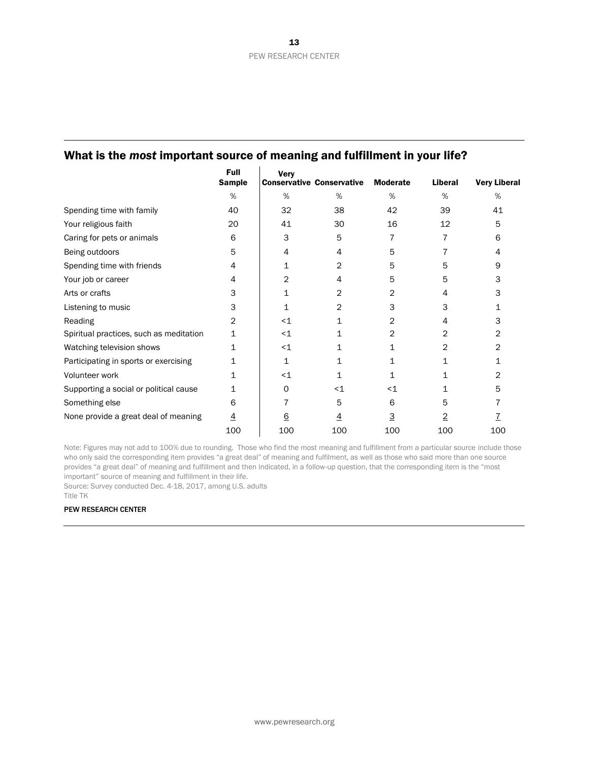|                                         | Full<br><b>Sample</b> | <b>Very</b>     | <b>Conservative Conservative</b> | <b>Moderate</b> | Liberal        | <b>Very Liberal</b> |
|-----------------------------------------|-----------------------|-----------------|----------------------------------|-----------------|----------------|---------------------|
|                                         | %                     | %               | %                                | %               | %              | %                   |
| Spending time with family               | 40                    | 32              | 38                               | 42              | 39             | 41                  |
| Your religious faith                    | 20                    | 41              | 30                               | 16              | 12             | 5                   |
| Caring for pets or animals              | 6                     | 3               | 5                                | 7               | 7              | 6                   |
| Being outdoors                          | 5                     | 4               | 4                                | 5               | 7              | 4                   |
| Spending time with friends              | 4                     | 1               | 2                                | 5               | 5              | 9                   |
| Your job or career                      | 4                     | 2               | 4                                | 5               | 5              | 3                   |
| Arts or crafts                          | 3                     | 1               | 2                                | 2               | 4              | 3                   |
| Listening to music                      | 3                     | 1               | 2                                | 3               | 3              | 1                   |
| Reading                                 | 2                     | $<$ 1           | 1                                | 2               | 4              | 3                   |
| Spiritual practices, such as meditation | 1                     | $<$ 1           |                                  | 2               | $\overline{2}$ | 2                   |
| Watching television shows               | 1                     | $\leq$ 1        |                                  | 1               | 2              | 2                   |
| Participating in sports or exercising   |                       | 1               |                                  |                 |                |                     |
| Volunteer work                          | 1                     | $<$ 1           |                                  | 1               |                | 2                   |
| Supporting a social or political cause  |                       | 0               | $\leq$ 1                         | $<$ 1           | 1              | 5                   |
| Something else                          | 6                     | 7               | 5                                | 6               | 5              |                     |
| None provide a great deal of meaning    | $\overline{4}$        | $\underline{6}$ | <u>4</u>                         | 3               | 2              |                     |
|                                         | 100                   | 100             | 100                              | 100             | 100            | 100                 |

Note: Figures may not add to 100% due to rounding. Those who find the most meaning and fulfillment from a particular source include those who only said the corresponding item provides "a great deal" of meaning and fulfilment, as well as those who said more than one source provides "a great deal" of meaning and fulfillment and then indicated, in a follow-up question, that the corresponding item is the "most important" source of meaning and fulfillment in their life.

Source: Survey conducted Dec. 4-18, 2017, among U.S. adults

Title TK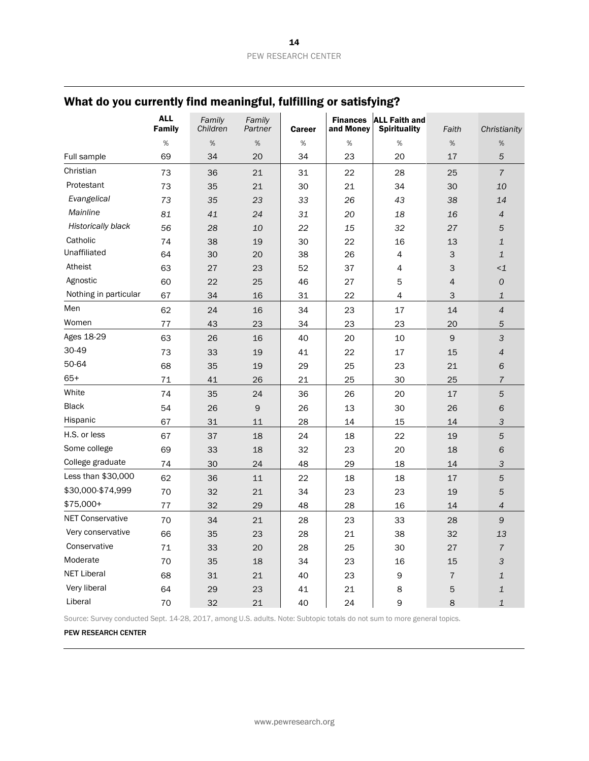|                         | <b>ALL</b><br>Family | Family<br>Children | Family<br>Partner | <b>Career</b> | <b>Finances</b><br>and Money | <b>ALL Faith and</b><br><b>Spirituality</b> | Faith          | Christianity             |
|-------------------------|----------------------|--------------------|-------------------|---------------|------------------------------|---------------------------------------------|----------------|--------------------------|
|                         | $\%$                 | %                  | %                 | $\%$          | $\%$                         | $\%$                                        | $\%$           | %                        |
| Full sample             | 69                   | 34                 | 20                | 34            | 23                           | 20                                          | 17             | 5                        |
| Christian               | 73                   | 36                 | 21                | 31            | 22                           | 28                                          | 25             | $\overline{7}$           |
| Protestant              | 73                   | 35                 | 21                | 30            | 21                           | 34                                          | 30             | 10                       |
| Evangelical             | 73                   | 35                 | 23                | 33            | 26                           | 43                                          | 38             | 14                       |
| Mainline                | 81                   | 41                 | 24                | 31            | 20                           | 18                                          | 16             | $\overline{\mathcal{A}}$ |
| Historically black      | 56                   | 28                 | 10                | 22            | 15                           | 32                                          | 27             | 5                        |
| Catholic                | 74                   | 38                 | 19                | 30            | 22                           | 16                                          | 13             | $\mathbf 1$              |
| Unaffiliated            | 64                   | 30                 | 20                | 38            | 26                           | 4                                           | $\mathsf 3$    | $\mathbf{1}$             |
| Atheist                 | 63                   | 27                 | 23                | 52            | 37                           | 4                                           | 3              | $\leq$ 1                 |
| Agnostic                | 60                   | 22                 | 25                | 46            | 27                           | 5                                           | $\overline{4}$ | ${\cal O}$               |
| Nothing in particular   | 67                   | 34                 | 16                | 31            | 22                           | 4                                           | 3              | $\mathbf{1}$             |
| Men                     | 62                   | 24                 | 16                | 34            | 23                           | 17                                          | 14             | $\overline{4}$           |
| Women                   | 77                   | 43                 | 23                | 34            | 23                           | 23                                          | 20             | 5                        |
| Ages 18-29              | 63                   | 26                 | 16                | 40            | 20                           | 10                                          | $\mathsf 9$    | 3                        |
| 30-49                   | 73                   | 33                 | 19                | 41            | 22                           | 17                                          | 15             | $\overline{4}$           |
| 50-64                   | 68                   | 35                 | 19                | 29            | 25                           | 23                                          | 21             | 6                        |
| $65+$                   | $71\,$               | 41                 | 26                | 21            | 25                           | 30                                          | 25             | $\overline{7}$           |
| White                   | 74                   | 35                 | 24                | 36            | 26                           | 20                                          | 17             | 5                        |
| <b>Black</b>            | 54                   | 26                 | 9                 | 26            | 13                           | 30                                          | 26             | $\sqrt{6}$               |
| Hispanic                | 67                   | 31                 | 11                | 28            | 14                           | 15                                          | 14             | 3                        |
| H.S. or less            | 67                   | 37                 | 18                | 24            | 18                           | 22                                          | 19             | 5                        |
| Some college            | 69                   | 33                 | 18                | 32            | 23                           | 20                                          | 18             | 6                        |
| College graduate        | 74                   | 30                 | 24                | 48            | 29                           | 18                                          | 14             | 3                        |
| Less than \$30,000      | 62                   | 36                 | 11                | 22            | 18                           | 18                                          | 17             | $\sqrt{5}$               |
| \$30,000-\$74,999       | 70                   | 32                 | 21                | 34            | 23                           | 23                                          | 19             | 5                        |
| \$75,000+               | 77                   | 32                 | 29                | 48            | 28                           | 16                                          | 14             | $\overline{4}$           |
| <b>NET Conservative</b> | 70                   | 34                 | 21                | 28            | 23                           | 33                                          | 28             | 9                        |
| Very conservative       | 66                   | 35                 | 23                | 28            | 21                           | 38                                          | 32             | 13                       |
| Conservative            | 71                   | 33                 | 20                | 28            | 25                           | 30                                          | 27             | $\overline{7}$           |
| Moderate                | 70                   | 35                 | 18                | 34            | 23                           | 16                                          | 15             | 3                        |
| <b>NET Liberal</b>      | 68                   | 31                 | 21                | 40            | 23                           | 9                                           | $\overline{7}$ | $\mathbf{1}$             |
| Very liberal            | 64                   | 29                 | 23                | 41            | 21                           | 8                                           | 5              | $\mathbf{1}$             |
| Liberal                 | 70                   | 32                 | 21                | 40            | 24                           | 9                                           | 8              | $\mathbf{1}$             |

Source: Survey conducted Sept. 14-28, 2017, among U.S. adults. Note: Subtopic totals do not sum to more general topics.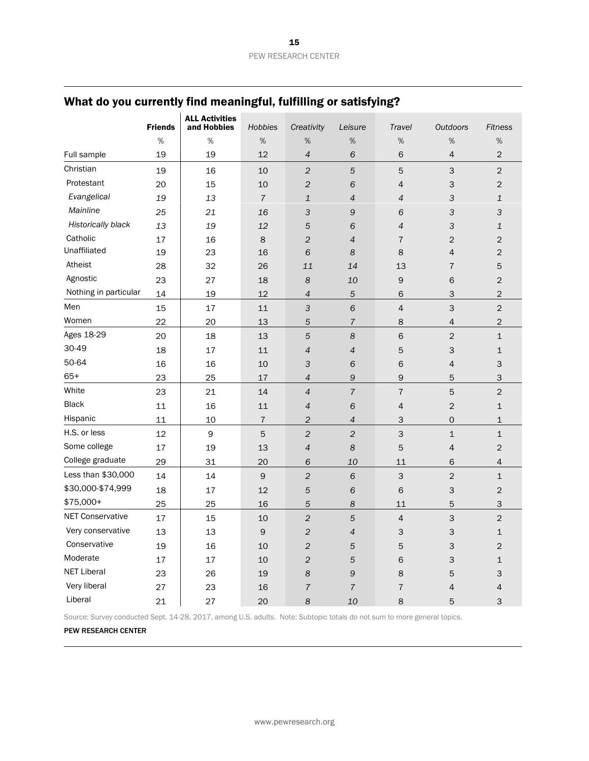|                           | <b>Friends</b> | <b>ALL Activities</b><br>and Hobbies | <b>Hobbies</b> | Creativity               | Leisure        | Travel                    | <b>Outdoors</b>           | <b>Fitness</b> |
|---------------------------|----------------|--------------------------------------|----------------|--------------------------|----------------|---------------------------|---------------------------|----------------|
|                           | %              | %                                    | %              | %                        | %              | %                         | %                         | %              |
| Full sample               | 19             | 19                                   | 12             | $\overline{4}$           | 6              | 6                         | 4                         | $\overline{c}$ |
| Christian                 | 19             | 16                                   | 10             | $\overline{c}$           | 5              | 5                         | 3                         | $\overline{2}$ |
| Protestant                | 20             | 15                                   | 10             | $\overline{2}$           | 6              | 4                         | 3                         | $\mathbf 2$    |
| Evangelical               | 19             | 13                                   | $\overline{7}$ | $\mathbf{1}$             | 4              | 4                         | 3                         | $\mathbf{1}$   |
| Mainline                  | 25             | 21                                   | 16             | 3                        | 9              | 6                         | 3                         | 3              |
| <b>Historically black</b> | 13             | 19                                   | 12             | 5                        | 6              | $\overline{4}$            | 3                         | 1              |
| Catholic                  | 17             | 16                                   | 8              | $\overline{c}$           | 4              | $\overline{7}$            | $\overline{c}$            | $\overline{c}$ |
| Unaffiliated              | 19             | 23                                   | 16             | 6                        | 8              | 8                         | $\overline{4}$            | $\mathbf 2$    |
| Atheist                   | 28             | 32                                   | 26             | 11                       | 14             | 13                        | $\overline{7}$            | 5              |
| Agnostic                  | 23             | 27                                   | 18             | 8                        | 10             | 9                         | 6                         | $\mathbf 2$    |
| Nothing in particular     | 14             | 19                                   | 12             | $\overline{4}$           | 5              | 6                         | $\ensuremath{\mathsf{3}}$ | $\mathbf 2$    |
| Men                       | 15             | 17                                   | 11             | 3                        | 6              | $\overline{4}$            | 3                         | $\overline{c}$ |
| Women                     | 22             | 20                                   | 13             | 5                        | $\overline{7}$ | 8                         | 4                         | $\overline{2}$ |
| Ages 18-29                | 20             | 18                                   | 13             | 5                        | 8              | 6                         | $\overline{c}$            | $\mathbf 1$    |
| 30-49                     | 18             | 17                                   | 11             | $\overline{4}$           | 4              | 5                         | $\ensuremath{\mathsf{3}}$ | $\mathbf 1$    |
| 50-64                     | 16             | 16                                   | 10             | 3                        | 6              | 6                         | 4                         | 3              |
| $65+$                     | 23             | 25                                   | 17             | 4                        | 9              | 9                         | 5                         | 3              |
| White                     | 23             | 21                                   | 14             | $\overline{4}$           | $\overline{7}$ | $\overline{\mathfrak{c}}$ | 5                         | $\overline{c}$ |
| <b>Black</b>              | 11             | 16                                   | 11             | $\overline{\mathcal{A}}$ | 6              | 4                         | $\overline{c}$            | $\mathbf 1$    |
| Hispanic                  | 11             | 10                                   | $\sqrt{ }$     | $\overline{\mathbf{c}}$  | 4              | 3                         | 0                         | $\mathbf 1$    |
| H.S. or less              | 12             | 9                                    | 5              | $\overline{c}$           | $\overline{c}$ | 3                         | $\mathbf{1}$              | $\mathbf{1}$   |
| Some college              | 17             | 19                                   | 13             | $\overline{4}$           | 8              | 5                         | $\overline{\mathcal{L}}$  | $\overline{c}$ |
| College graduate          | 29             | 31                                   | 20             | 6                        | 10             | 11                        | 6                         | 4              |
| Less than \$30,000        | 14             | 14                                   | $\mathsf 9$    | $\overline{c}$           | 6              | 3                         | $\overline{c}$            | $\mathbf{1}$   |
| \$30,000-\$74,999         | 18             | 17                                   | 12             | 5                        | 6              | 6                         | 3                         | $\overline{c}$ |
| \$75,000+                 | 25             | 25                                   | 16             | 5                        | 8              | 11                        | 5                         | 3              |
| <b>NET Conservative</b>   | 17             | 15                                   | 10             | $\overline{c}$           | 5              | $\overline{4}$            | 3                         | $\overline{c}$ |
| Very conservative         | 13             | 13                                   | 9              | $\overline{2}$           | 4              | 3                         | 3                         | $\mathbf{1}$   |
| Conservative              | 19             | 16                                   | 10             | $\overline{c}$           | 5              | 5                         | $\mathsf 3$               | $\overline{c}$ |
| Moderate                  | 17             | 17                                   | 10             | $\overline{c}$           | 5              | 6                         | 3                         | $\mathbf{1}$   |
| <b>NET Liberal</b>        | 23             | 26                                   | 19             | 8                        | 9              | 8                         | 5                         | 3              |
| Very liberal              | 27             | 23                                   | 16             | $\overline{7}$           | $\overline{7}$ | $\overline{7}$            | 4                         | $\overline{4}$ |
| Liberal                   | 21             | 27                                   | 20             | 8                        | 10             | 8                         | 5                         | 3              |

Source: Survey conducted Sept. 14-28, 2017, among U.S. adults. Note: Subtopic totals do not sum to more general topics.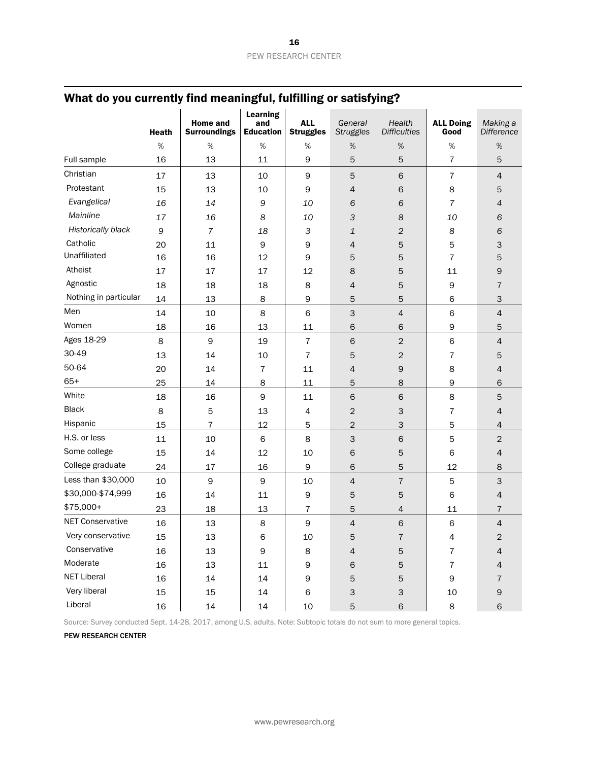|                         | <b>Heath</b> | <b>Home and</b><br><b>Surroundings</b> | <b>Learning</b><br>and<br><b>Education</b> | <b>ALL</b><br><b>Struggles</b> | General<br><b>Struggles</b> | Health<br><b>Difficulties</b> | <b>ALL Doing</b><br>Good | Making a<br><b>Difference</b> |
|-------------------------|--------------|----------------------------------------|--------------------------------------------|--------------------------------|-----------------------------|-------------------------------|--------------------------|-------------------------------|
|                         | $\%$         | $\%$                                   | $\%$                                       | $\%$                           | $\%$                        | $\%$                          | $\%$                     | $\%$                          |
| Full sample             | 16           | 13                                     | 11                                         | 9                              | 5                           | 5                             | $\overline{7}$           | 5                             |
| Christian               | 17           | 13                                     | 10                                         | $\mathsf 9$                    | 5                           | 6                             | $\overline{7}$           | $\overline{4}$                |
| Protestant              | 15           | 13                                     | 10                                         | 9                              | $\overline{4}$              | 6                             | 8                        | 5                             |
| Evangelical             | 16           | 14                                     | 9                                          | 10                             | 6                           | 6                             | $\overline{7}$           | $\overline{4}$                |
| Mainline                | 17           | 16                                     | 8                                          | 10                             | З                           | 8                             | 10                       | 6                             |
| Historically black      | 9            | 7                                      | 18                                         | 3                              | 1                           | $\overline{c}$                | 8                        | 6                             |
| Catholic                | 20           | 11                                     | 9                                          | 9                              | $\overline{4}$              | 5                             | 5                        | 3                             |
| Unaffiliated            | 16           | 16                                     | 12                                         | 9                              | 5                           | 5                             | $\overline{7}$           | 5                             |
| Atheist                 | 17           | 17                                     | 17                                         | 12                             | 8                           | 5                             | 11                       | 9                             |
| Agnostic                | 18           | 18                                     | 18                                         | 8                              | 4                           | 5                             | 9                        | 7                             |
| Nothing in particular   | 14           | 13                                     | 8                                          | $\mathsf 9$                    | 5                           | 5                             | 6                        | 3                             |
| Men                     | 14           | 10                                     | 8                                          | 6                              | 3                           | $\overline{4}$                | 6                        | $\overline{4}$                |
| Women                   | 18           | 16                                     | 13                                         | 11                             | 6                           | $\mathsf 6$                   | 9                        | 5                             |
| Ages 18-29              | 8            | 9                                      | 19                                         | $\overline{7}$                 | 6                           | $\overline{2}$                | 6                        | $\overline{4}$                |
| 30-49                   | 13           | 14                                     | 10                                         | $\overline{7}$                 | 5                           | $\mathbf{2}$                  | $\bf 7$                  | 5                             |
| 50-64                   | 20           | 14                                     | $\overline{7}$                             | 11                             | 4                           | 9                             | 8                        | $\overline{4}$                |
| $65+$                   | 25           | 14                                     | 8                                          | 11                             | 5                           | 8                             | 9                        | 6                             |
| White                   | 18           | 16                                     | $\mathsf 9$                                | 11                             | 6                           | $\,$ 6                        | 8                        | 5                             |
| <b>Black</b>            | 8            | 5                                      | 13                                         | $\overline{4}$                 | $\overline{c}$              | 3                             | $\overline{7}$           | $\overline{4}$                |
| Hispanic                | 15           | 7                                      | 12                                         | 5                              | 2                           | 3                             | 5                        | $\overline{4}$                |
| H.S. or less            | 11           | 10                                     | $\,$ 6                                     | 8                              | 3                           | $\,$ 6                        | 5                        | $\overline{c}$                |
| Some college            | 15           | 14                                     | 12                                         | 10                             | 6                           | 5                             | 6                        | $\overline{4}$                |
| College graduate        | 24           | 17                                     | 16                                         | $\mathsf 9$                    | 6                           | 5                             | 12                       | 8                             |
| Less than \$30,000      | 10           | $\mathsf 9$                            | $\mathsf 9$                                | 10                             | $\overline{4}$              | $\overline{7}$                | 5                        | 3                             |
| \$30,000-\$74,999       | 16           | 14                                     | 11                                         | 9                              | 5                           | 5                             | 6                        | $\overline{4}$                |
| \$75,000+               | 23           | 18                                     | 13                                         | 7                              | 5                           | $\overline{4}$                | 11                       | $\overline{7}$                |
| <b>NET Conservative</b> | 16           | 13                                     | 8                                          | 9                              | $\overline{4}$              | 6                             | 6                        | $\overline{4}$                |
| Very conservative       | 15           | 13                                     | $\mathsf 6$                                | $10\,$                         | 5                           | $\boldsymbol{7}$              | 4                        | $\overline{c}$                |
| Conservative            | 16           | 13                                     | $\mathsf 9$                                | 8                              | $\overline{4}$              | 5                             | $\overline{7}$           | 4                             |
| Moderate                | 16           | 13                                     | $11\,$                                     | $\mathsf 9$                    | 6                           | 5                             | $\boldsymbol{7}$         | $\overline{4}$                |
| <b>NET Liberal</b>      | 16           | $14\,$                                 | 14                                         | 9                              | 5                           | 5                             | 9                        | $\overline{7}$                |
| Very liberal            | 15           | 15                                     | 14                                         | 6                              | З                           | 3                             | 10                       | 9                             |
| Liberal                 | 16           | 14                                     | 14                                         | 10                             | 5                           | 6                             | 8                        | 6                             |

Source: Survey conducted Sept. 14-28, 2017, among U.S. adults. Note: Subtopic totals do not sum to more general topics.